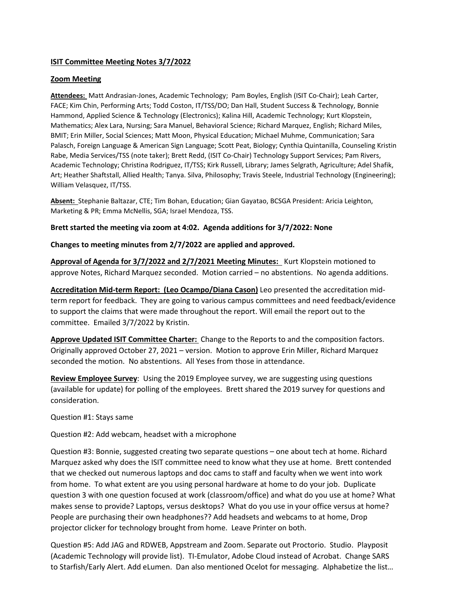## **ISIT Committee Meeting Notes 3/7/2022**

## **Zoom Meeting**

**Attendees:** Matt Andrasian-Jones, Academic Technology; Pam Boyles, English (ISIT Co-Chair); Leah Carter, FACE; Kim Chin, Performing Arts; Todd Coston, IT/TSS/DO; Dan Hall, Student Success & Technology, Bonnie Hammond, Applied Science & Technology (Electronics); Kalina Hill, Academic Technology; Kurt Klopstein, Mathematics; Alex Lara, Nursing; Sara Manuel, Behavioral Science; Richard Marquez, English; Richard Miles, BMIT; Erin Miller, Social Sciences; Matt Moon, Physical Education; Michael Muhme, Communication; Sara Palasch, Foreign Language & American Sign Language; Scott Peat, Biology; Cynthia Quintanilla, Counseling Kristin Rabe, Media Services/TSS (note taker); Brett Redd, (ISIT Co-Chair) Technology Support Services; Pam Rivers, Academic Technology; Christina Rodriguez, IT/TSS; Kirk Russell, Library; James Selgrath, Agriculture; Adel Shafik, Art; Heather Shaftstall, Allied Health; Tanya. Silva, Philosophy; Travis Steele, Industrial Technology (Engineering); William Velasquez, IT/TSS.

**Absent:** Stephanie Baltazar, CTE; Tim Bohan, Education; Gian Gayatao, BCSGA President: Aricia Leighton, Marketing & PR; Emma McNellis, SGA; Israel Mendoza, TSS.

### **Brett started the meeting via zoom at 4:02. Agenda additions for 3/7/2022: None**

#### **Changes to meeting minutes from 2/7/2022 are applied and approved.**

**Approval of Agenda for 3/7/2022 and 2/7/2021 Meeting Minutes:** Kurt Klopstein motioned to approve Notes, Richard Marquez seconded. Motion carried – no abstentions. No agenda additions.

**Accreditation Mid-term Report: (Leo Ocampo/Diana Cason)** Leo presented the accreditation midterm report for feedback. They are going to various campus committees and need feedback/evidence to support the claims that were made throughout the report. Will email the report out to the committee. Emailed 3/7/2022 by Kristin.

**Approve Updated ISIT Committee Charter:** Change to the Reports to and the composition factors. Originally approved October 27, 2021 – version. Motion to approve Erin Miller, Richard Marquez seconded the motion. No abstentions. All Yeses from those in attendance.

**Review Employee Survey**: Using the 2019 Employee survey, we are suggesting using questions (available for update) for polling of the employees. Brett shared the 2019 survey for questions and consideration.

Question #1: Stays same

Question #2: Add webcam, headset with a microphone

Question #3: Bonnie, suggested creating two separate questions – one about tech at home. Richard Marquez asked why does the ISIT committee need to know what they use at home. Brett contended that we checked out numerous laptops and doc cams to staff and faculty when we went into work from home. To what extent are you using personal hardware at home to do your job. Duplicate question 3 with one question focused at work (classroom/office) and what do you use at home? What makes sense to provide? Laptops, versus desktops? What do you use in your office versus at home? People are purchasing their own headphones?? Add headsets and webcams to at home, Drop projector clicker for technology brought from home. Leave Printer on both.

Question #5: Add JAG and RDWEB, Appstream and Zoom. Separate out Proctorio. Studio. Playposit (Academic Technology will provide list). TI-Emulator, Adobe Cloud instead of Acrobat. Change SARS to Starfish/Early Alert. Add eLumen. Dan also mentioned Ocelot for messaging. Alphabetize the list…